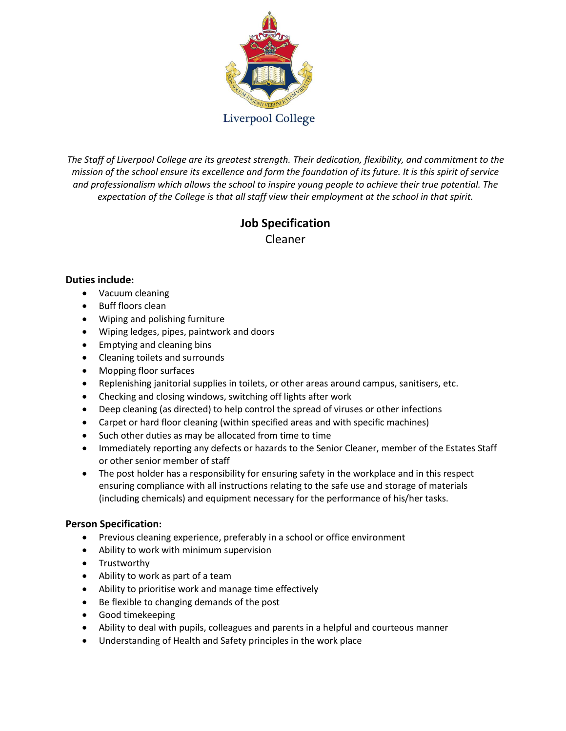

*The Staff of Liverpool College are its greatest strength. Their dedication, flexibility, and commitment to the mission of the school ensure its excellence and form the foundation of its future. It is this spirit of service and professionalism which allows the school to inspire young people to achieve their true potential. The expectation of the College is that all staff view their employment at the school in that spirit.*

# **Job Specification**

Cleaner

## **Duties include:**

- Vacuum cleaning
- Buff floors clean
- Wiping and polishing furniture
- Wiping ledges, pipes, paintwork and doors
- Emptying and cleaning bins
- Cleaning toilets and surrounds
- Mopping floor surfaces
- Replenishing janitorial supplies in toilets, or other areas around campus, sanitisers, etc.
- Checking and closing windows, switching off lights after work
- Deep cleaning (as directed) to help control the spread of viruses or other infections
- Carpet or hard floor cleaning (within specified areas and with specific machines)
- Such other duties as may be allocated from time to time
- Immediately reporting any defects or hazards to the Senior Cleaner, member of the Estates Staff or other senior member of staff
- The post holder has a responsibility for ensuring safety in the workplace and in this respect ensuring compliance with all instructions relating to the safe use and storage of materials (including chemicals) and equipment necessary for the performance of his/her tasks.

## **Person Specification:**

- Previous cleaning experience, preferably in a school or office environment
- Ability to work with minimum supervision
- Trustworthy
- Ability to work as part of a team
- Ability to prioritise work and manage time effectively
- Be flexible to changing demands of the post
- Good timekeeping
- Ability to deal with pupils, colleagues and parents in a helpful and courteous manner
- Understanding of Health and Safety principles in the work place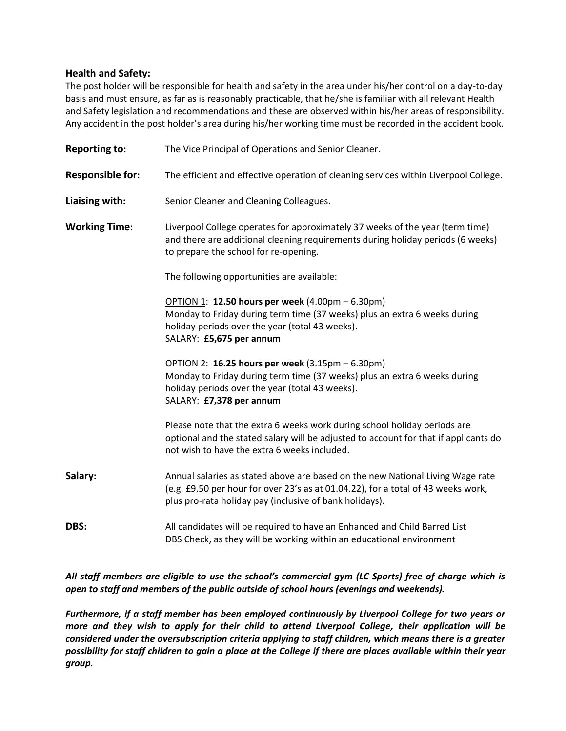#### **Health and Safety:**

The post holder will be responsible for health and safety in the area under his/her control on a day-to-day basis and must ensure, as far as is reasonably practicable, that he/she is familiar with all relevant Health and Safety legislation and recommendations and these are observed within his/her areas of responsibility. Any accident in the post holder's area during his/her working time must be recorded in the accident book.

| <b>Reporting to:</b>    | The Vice Principal of Operations and Senior Cleaner.                                                                                                                                                                           |
|-------------------------|--------------------------------------------------------------------------------------------------------------------------------------------------------------------------------------------------------------------------------|
| <b>Responsible for:</b> | The efficient and effective operation of cleaning services within Liverpool College.                                                                                                                                           |
| Liaising with:          | Senior Cleaner and Cleaning Colleagues.                                                                                                                                                                                        |
| <b>Working Time:</b>    | Liverpool College operates for approximately 37 weeks of the year (term time)<br>and there are additional cleaning requirements during holiday periods (6 weeks)<br>to prepare the school for re-opening.                      |
|                         | The following opportunities are available:                                                                                                                                                                                     |
|                         | OPTION 1: 12.50 hours per week (4.00pm – 6.30pm)<br>Monday to Friday during term time (37 weeks) plus an extra 6 weeks during<br>holiday periods over the year (total 43 weeks).<br>SALARY: £5,675 per annum                   |
|                         | OPTION 2: 16.25 hours per week (3.15pm - 6.30pm)<br>Monday to Friday during term time (37 weeks) plus an extra 6 weeks during<br>holiday periods over the year (total 43 weeks).<br>SALARY: £7,378 per annum                   |
|                         | Please note that the extra 6 weeks work during school holiday periods are<br>optional and the stated salary will be adjusted to account for that if applicants do<br>not wish to have the extra 6 weeks included.              |
| Salary:                 | Annual salaries as stated above are based on the new National Living Wage rate<br>(e.g. £9.50 per hour for over 23's as at 01.04.22), for a total of 43 weeks work,<br>plus pro-rata holiday pay (inclusive of bank holidays). |
| DBS:                    | All candidates will be required to have an Enhanced and Child Barred List<br>DBS Check, as they will be working within an educational environment                                                                              |

*All staff members are eligible to use the school's commercial gym (LC Sports) free of charge which is open to staff and members of the public outside of school hours (evenings and weekends).* 

*Furthermore, if a staff member has been employed continuously by Liverpool College for two years or more and they wish to apply for their child to attend Liverpool College, their application will be considered under the oversubscription criteria applying to staff children, which means there is a greater possibility for staff children to gain a place at the College if there are places available within their year group.*